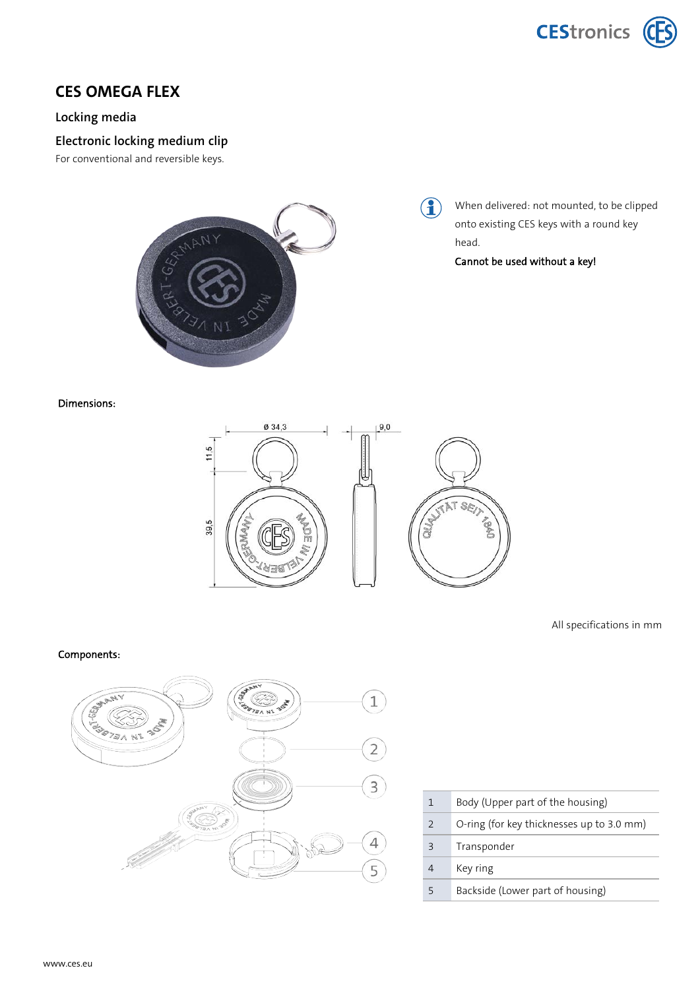



## **CES OMEGA FLEX**

### **Locking media**

## **Electronic locking medium clip**

For conventional and reversible keys.



#### Dimensions:



All specifications in mm

#### Components:



| 1             | Body (Upper part of the housing)          |
|---------------|-------------------------------------------|
| $\mathcal{P}$ | O-ring (for key thicknesses up to 3.0 mm) |
| Β             | Transponder                               |
|               | Key ring                                  |
|               | Backside (Lower part of housing)          |